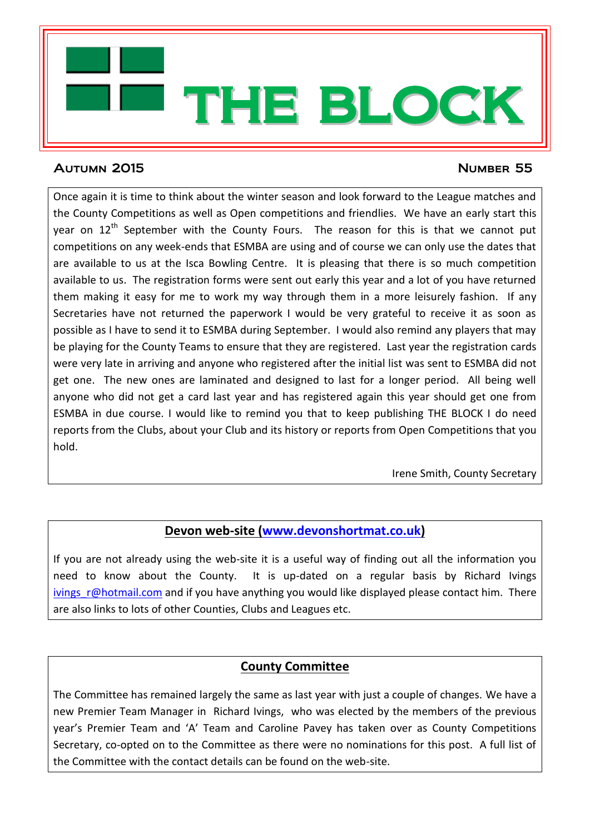

# Autumn 2015 Number 55

Once again it is time to think about the winter season and look forward to the League matches and the County Competitions as well as Open competitions and friendlies. We have an early start this year on  $12<sup>th</sup>$  September with the County Fours. The reason for this is that we cannot put competitions on any week-ends that ESMBA are using and of course we can only use the dates that are available to us at the Isca Bowling Centre. It is pleasing that there is so much competition available to us. The registration forms were sent out early this year and a lot of you have returned them making it easy for me to work my way through them in a more leisurely fashion. If any Secretaries have not returned the paperwork I would be very grateful to receive it as soon as possible as I have to send it to ESMBA during September. I would also remind any players that may be playing for the County Teams to ensure that they are registered. Last year the registration cards were very late in arriving and anyone who registered after the initial list was sent to ESMBA did not get one. The new ones are laminated and designed to last for a longer period. All being well anyone who did not get a card last year and has registered again this year should get one from ESMBA in due course. I would like to remind you that to keep publishing THE BLOCK I do need reports from the Clubs, about your Club and its history or reports from Open Competitions that you hold.

Irene Smith, County Secretary

# **Devon web-site [\(www.devonshortmat.co.uk\)](http://www.devonshortmat.co.uk/)**

If you are not already using the web-site it is a useful way of finding out all the information you need to know about the County. It is up-dated on a regular basis by Richard Ivings ivings r@hotmail.com and if you have anything you would like displayed please contact him. There are also links to lots of other Counties, Clubs and Leagues etc.

# **County Committee**

The Committee has remained largely the same as last year with just a couple of changes. We have a new Premier Team Manager in Richard Ivings, who was elected by the members of the previous year's Premier Team and 'A' Team and Caroline Pavey has taken over as County Competitions Secretary, co-opted on to the Committee as there were no nominations for this post. A full list of the Committee with the contact details can be found on the web-site.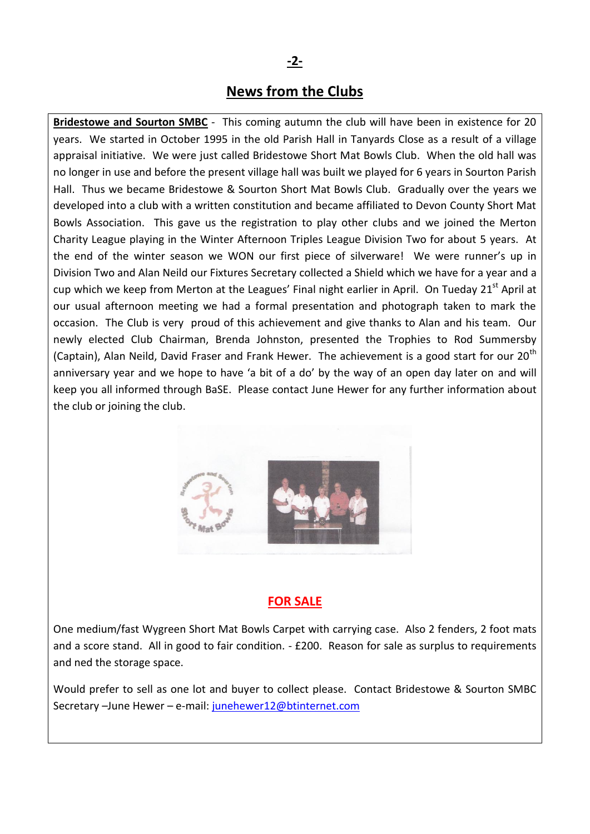### **-2-**

## **News from the Clubs**

**Bridestowe and Sourton SMBC** - This coming autumn the club will have been in existence for 20 years. We started in October 1995 in the old Parish Hall in Tanyards Close as a result of a village appraisal initiative. We were just called Bridestowe Short Mat Bowls Club. When the old hall was no longer in use and before the present village hall was built we played for 6 years in Sourton Parish Hall. Thus we became Bridestowe & Sourton Short Mat Bowls Club. Gradually over the years we developed into a club with a written constitution and became affiliated to Devon County Short Mat Bowls Association. This gave us the registration to play other clubs and we joined the Merton Charity League playing in the Winter Afternoon Triples League Division Two for about 5 years. At the end of the winter season we WON our first piece of silverware! We were runner's up in Division Two and Alan Neild our Fixtures Secretary collected a Shield which we have for a year and a cup which we keep from Merton at the Leagues' Final night earlier in April. On Tueday  $21<sup>st</sup>$  April at our usual afternoon meeting we had a formal presentation and photograph taken to mark the occasion. The Club is very proud of this achievement and give thanks to Alan and his team. Our newly elected Club Chairman, Brenda Johnston, presented the Trophies to Rod Summersby (Captain), Alan Neild, David Fraser and Frank Hewer. The achievement is a good start for our 20<sup>th</sup> anniversary year and we hope to have 'a bit of a do' by the way of an open day later on and will keep you all informed through BaSE. Please contact June Hewer for any further information about the club or joining the club.



### **FOR SALE**

One medium/fast Wygreen Short Mat Bowls Carpet with carrying case. Also 2 fenders, 2 foot mats and a score stand. All in good to fair condition. - £200. Reason for sale as surplus to requirements and ned the storage space.

Would prefer to sell as one lot and buyer to collect please. Contact Bridestowe & Sourton SMBC Secretary –June Hewer – e-mail: [junehewer12@btinternet.com](mailto:junehewer12@btinternet.com)